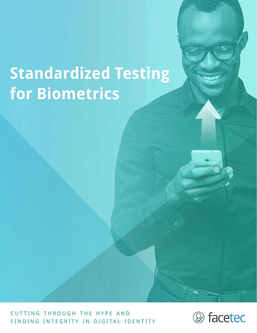# **Standardized Testing for Biometrics**

CUTTING THROUGH THE HYPE AND FINDING INTEGRITY IN DIGITAL IDENTITY

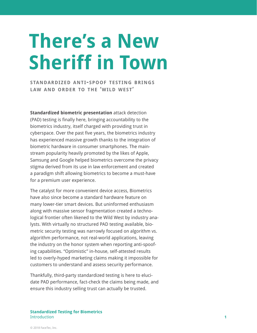# **There's a New Sheriff in Town**

**standardized anti-spoof testing brings law and order to the 'wild west'**

**Standardized biometric presentation** attack detection (PAD) testing is finally here, bringing accountability to the biometrics industry, itself charged with providing trust in cyberspace. Over the past five years, the biometrics industry has experienced massive growth thanks to the integration of biometric hardware in consumer smartphones. The mainstream popularity heavily promoted by the likes of Apple, Samsung and Google helped biometrics overcome the privacy stigma derived from its use in law enforcement and created a paradigm shift allowing biometrics to become a must-have for a premium user experience.

The catalyst for more convenient device access, Biometrics have also since become a standard hardware feature on many lower-tier smart devices. But uninformed enthusiasm along with massive sensor fragmentation created a technological frontier often likened to the Wild West by industry analysts. With virtually no structured PAD testing available, biometric security testing was narrowly focused on algorithm vs. algorithm performance, not real-world applications, leaving the industry on the honor system when reporting anti-spoofing capabilities. "Optimistic" in-house, self-attested results led to overly-hyped marketing claims making it impossible for customers to understand and assess security performance.

Thankfully, third-party standardized testing is here to elucidate PAD performance, fact-check the claims being made, and ensure this industry selling trust can actually be trusted.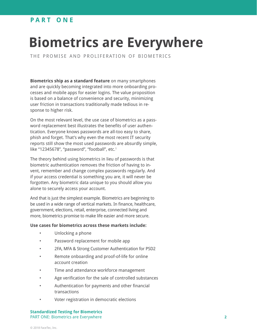### **p a r t o n e**

## **Biometrics are Everywhere**

THE PROMISE AND PROLIFERATION OF BIOMETRICS

**Biometrics ship as a standard feature** on many smartphones and are quickly becoming integrated into more onboarding processes and mobile apps for easier logins. The value proposition is based on a balance of convenience and security, minimizing user friction in transactions traditionally made tedious in response to higher risk.

On the most relevant level, the use case of biometrics as a password replacement best illustrates the benefits of user authentication. Everyone knows passwords are all-too easy to share, phish and forget. That's why even the most recent IT security reports still show the most used passwords are absurdly simple, like "12345678", "password", "football", etc.<sup>1</sup>

The theory behind using biometrics in lieu of passwords is that biometric authentication removes the friction of having to invent, remember and change complex passwords regularly. And if your access credential is something you are, it will never be forgotten. Any biometric data unique to you should allow you alone to securely access your account.

And that is just the simplest example. Biometrics are beginning to be used in a wide range of vertical markets. In finance, healthcare, government, elections, retail, enterprise, connected living and more, biometrics promise to make life easier and more secure.

#### **Use cases for biometrics across these markets include:**

- Unlocking a phone
- Password replacement for mobile app
- 2FA, MFA & Strong Customer Authentication for PSD2
- Remote onboarding and proof-of-life for online account creation
- Time and attendance workforce management
- Age verification for the sale of controlled substances
- Authentication for payments and other financial transactions
- Voter registration in democratic elections

**Standardized Testing for Biometrics** PART ONE: Biometrics are Everywhere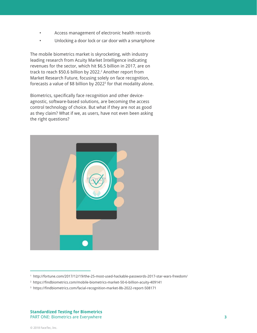- Access management of electronic health records
- Unlocking a door lock or car door with a smartphone

The mobile biometrics market is skyrocketing, with industry leading research from Acuity Market Intelligence indicating revenues for the sector, which hit \$6.5 billion in 2017, are on track to reach \$50.6 billion by 2022. $^2$  Another report from Market Research Future, focusing solely on face recognition, forecasts a value of \$8 billion by 2022 $^{\rm 3}$  for that modality alone.

Biometrics, specifically face recognition and other deviceagnostic, software-based solutions, are becoming the access control technology of choice. But what if they are not as good as they claim? What if we, as users, have not even been asking the right questions?



<sup>1</sup> <http://fortune.com/2017/12/19/the-25-most-used-hackable-passwords-2017-star-wars-freedom/>

<sup>2</sup> [https://findbiometrics.com/mobile-biometrics-market-50-6-billion-acuity-409141](https://findbiometrics.com/mobile-biometrics-market-50-6-billion-acuity-409141/)

<sup>3</sup> [https://findbiometrics.com/facial-recognition-market-8b-2022-report-508171](https://findbiometrics.com/facial-recognition-market-8b-2022-report-508171/)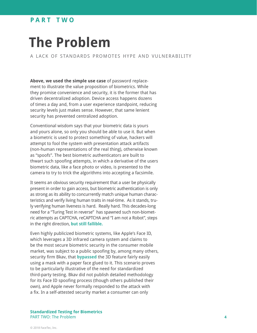### **p a r t t w o**

## **The Problem**

a lack of standards promotes hype and vulnerability

**Above, we used the simple use case** of password replacement to illustrate the value proposition of biometrics. While they promise convenience and security, it is the former that has driven decentralized adoption. Device access happens dozens of times a day and, from a user experience standpoint, reducing security levels just makes sense. However, that same lenient security has prevented centralized adoption.

Conventional wisdom says that your biometric data is yours and yours alone, so only you should be able to use it. But when a biometric is used to protect something of value, hackers will attempt to fool the system with presentation attack artifacts (non-human representations of the real thing), otherwise known as "spoofs". The best biometric authenticators are built to thwart such spoofing attempts, in which a derivative of the users biometric data, like a face photo or video, is presented to the camera to try to trick the algorithms into accepting a facsimile.

It seems an obvious security requirement that a user be physically present in order to gain access, but biometric authentication is only as strong as its ability to concurrently match unique human characteristics and verify living human traits in real-time. As it stands, truly verifying human liveness is hard. Really hard. This decades-long need for a "Turing Test in reverse" has spawned such non-biometric attempts as CAPTCHA, reCAPTCHA and "I am not a Robot", steps in the right direction, **[but still fallible.](https://youtu.be/fsF7enQY8uI)**

Even highly publicized biometric systems, like Apple's Face ID, which leverages a 3D infrared camera system and claims to be the most secure biometric security in the consumer mobile market, was subject to a public spoofing by, among many others, security firm Bkav, that **[bypassed](https://youtu.be/i4YQRLQVixM)** the 3D feature fairly easily using a mask with a paper face glued to it. This scenario proves to be particularly illustrative of the need for standardized third-party testing. Bkav did not publish detailed methodology for its Face ID spoofing process (though others published their own), and Apple never formally responded to the attack with a fix. In a self-attested security market a consumer can only

**Standardized Testing for Biometrics** PART TWO: The Problem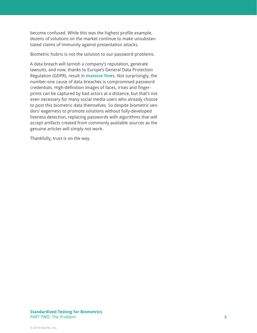become confused. While this was the highest profile example, dozens of solutions on the market continue to make unsubstantiated claims of immunity against presentation attacks.

Biometric hubris is not the solution to our password problems.

A data breach will tarnish a company's reputation, generate lawsuits, and now, thanks to Europe's General Data Protection Regulation (GDPR), result in **[massive fines](http://fortune.com/2018/11/27/uber-eu-data-hack-fines/)**. Not surprisingly, the number-one cause of data breaches is compromised password credentials. High-definition images of faces, irises and fingerprints can be captured by bad actors at a distance, but that's not even necessary for many social media users who already choose to post this biometric data themselves. So despite biometric vendors' eagerness to promote solutions without fully-developed liveness detection, replacing passwords with algorithms that will accept artifacts created from commonly available sources as the genuine articles will simply not work.

Thankfully, trust is on the way.

#### **Standardized Testing for Biometrics** PART TWO: The Problem **5**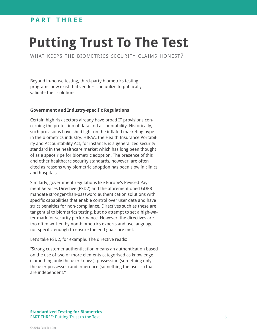### **PART THREE**

## **Putting Trust To The Test**

WHAT KEEPS THE BIOMETRICS SECURITY CLAIMS HONEST?

Beyond in-house testing, third-party biometrics testing programs now exist that vendors can utilize to publically validate their solutions.

#### **Government and Industry-specific Regulations**

Certain high risk sectors already have broad IT provisions concerning the protection of data and accountability. Historically, such provisions have shed light on the inflated marketing hype in the biometrics industry. HIPAA, the Health Insurance Portability and Accountability Act, for instance, is a generalized security standard in the healthcare market which has long been thought of as a space ripe for biometric adoption. The presence of this and other healthcare security standards, however, are often cited as reasons why biometric adoption has been slow in clinics and hospitals.

Similarly, government regulations like Europe's Revised Payment Services Directive (PSD2) and the aforementioned GDPR mandate stronger-than-password authentication solutions with specific capabilities that enable control over user data and have strict penalties for non-compliance. Directives such as these are tangential to biometrics testing, but do attempt to set a high-water mark for security performance. However, the directives are too often written by non-biometrics experts and use language not specific enough to ensure the end goals are met.

Let's take PSD2, for example. The directive reads:

"Strong customer authentication means an authentication based on the use of two or more elements categorised as knowledge (something only the user knows), possession (something only the user possesses) and inherence (something the user is) that are independent."

**Standardized Testing for Biometrics** PART THREE: Putting Trust to the Test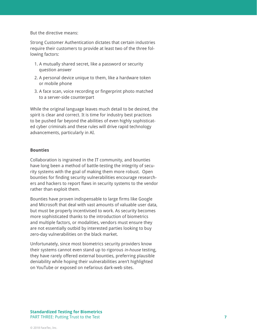But the directive means:

Strong Customer Authentication dictates that certain industries require their customers to provide at least two of the three following factors:

- 1. A mutually shared secret, like a password or security question answer
- 2. A personal device unique to them, like a hardware token or mobile phone
- 3. A face scan, voice recording or fingerprint photo matched to a server-side counterpart

While the original language leaves much detail to be desired, the spirit is clear and correct. It is time for industry best practices to be pushed far beyond the abilities of even highly sophisticated cyber criminals and these rules will drive rapid technology advancements, particularly in AI.

#### **Bounties**

Collaboration is ingrained in the IT community, and bounties have long been a method of battle-testing the integrity of security systems with the goal of making them more robust. Open bounties for finding security vulnerabilities encourage researchers and hackers to report flaws in security systems to the vendor rather than exploit them.

Bounties have proven indispensable to large firms like Google and Microsoft that deal with vast amounts of valuable user data, but must be properly incentivised to work. As security becomes more sophisticated thanks to the introduction of biometrics and multiple factors, or modalities, vendors must ensure they are not essentially outbid by interested parties looking to buy zero-day vulnerabilities on the black market.

Unfortunately, since most biometrics security providers know their systems cannot even stand up to rigorous in-house testing, they have rarely offered external bounties, preferring plausible deniability while hoping their vulnerabilities aren't highlighted on YouTube or exposed on nefarious dark-web sites.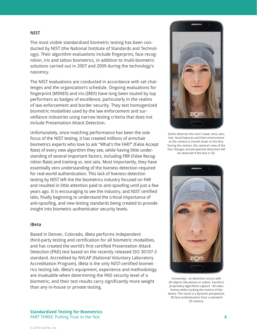#### **NIST**

The most visible standardized biometric testing has been conducted by NIST (the National Institute of Standards and Technology). Their algorithm evaluations include fingerprint, face recognition, iris and tattoo biometrics, in addition to multi-biometric solutions carried out in 2007 and 2009 during the technology's nascency.

The NIST evaluations are conducted in accordance with set challenges and the organization's schedule. Ongoing evaluations for fingerprint (MINEX) and iris (IREX) have long been touted by top performers as badges of excellence, particularly in the realms of law enforcement and border security. They test homogenized biometric modalities used by the law enforcement and surveillance industries using narrow testing criteria that does not include Presentation Attack Detection.

Unfortunately, since matching performance has been the sole focus of the NIST testing, it has created millions of armchair biometrics experts who love to ask "What's the FAR?" (False Accept Rate) of every new algorithm they see, while having little understanding of several important factors, including FRR (False Recognition Rate) and training vs. test sets. Most importantly, they have essentially zero understanding of the liveness detection required for real-world authentication. This lack of liveness detection testing by NIST left the the biometrics industry focused on FAR and resulted in little attention paid to anti-spoofing until just a few years ago. It is encouraging to see the industry, and NIST certified labs, finally beginning to understand the critical importance of anti-spoofing, and new testing standards being created to provide insight into biometric authenticator security levels.

#### **iBeta**

Based in Denver, Colorado, iBeta performs independent third-party testing and certification for all biometric modalities, and has created the world's first certified Presentation Attack Detection (PAD) test based on the recently released ISO 30107-3 standard. Accredited by NVLAP (National Voluntary Laboratory Accreditation Program), iBeta is the only NIST-certified biometrics testing lab. iBeta's equipment, experience and methodology are invaluable when determining the PAD security level of a biometric, and their test results carry significantly more weight than any in-house or private testing.



ZoOm observes the user's head, neck, ears, hair, facial features and their environment as the camera is moved closer to the face. During the motion, the camera's view of the face changes and perspective distortion will be observed if the face is 3D.



Conversely, no distortion occurs with 2D objects like photos or videos. FaceTec's proprietary algorithms capture ~30 video frames while tracking the motion of the device. The result is a dynamic perspective, 3D face authentication from a standard 2D camera.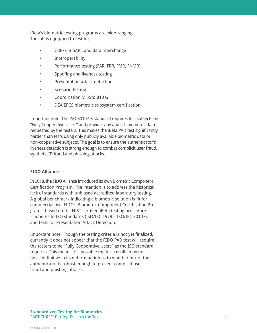iBeta's biometric testing programs are wide-ranging. The lab is equipped to test for:

- CBEFF, BioAPI, and data interchange
- **Interoperability**
- Performance testing (FAR, FRR, FMR, FNMR)
- Spoofing and liveness testing
- Presentation attack detection
- Scenario testing
- Coordination Mil-Std 810 G
- DEA EPCS biometric subsystem certification

Important note: The ISO 30107-3 standard requires test subjects be "Fully Cooperative Users" and provide "any and all" biometric data requested by the testers. This makes the iBeta PAD test significantly harder than tests using only publicly available biometric data or non-cooperative subjects. The goal is to ensure the authenticator's liveness detection is strong enough to combat complicit user fraud, synthetic ID fraud and phishing attacks.

#### **FIDO Alliance**

In 2018, the FIDO Alliance introduced its own Biometric Component Certification Program. The intention is to address the historical lack of standards with unbiased accredited laboratory testing. A global benchmark indicating a biometric solution is fit for commercial use, FIDO's Biometric Component Certification Program – based on the NIST-certified iBeta testing procedure – adheres to ISO standards (ISO/IEC 19795; ISO/IEC 30107), and tests for Presentation Attack Detection.

Important note: Though the testing criteria is not yet finalized, currently it does not appear that the FIDO PAD test will require the testers to be "Fully Cooperative Users" as the ISO standard requires. This means it is possible the test results may not be as definitive in its determination as to whether or not the authenticator is robust enough to prevent complicit user fraud and phishing attacks.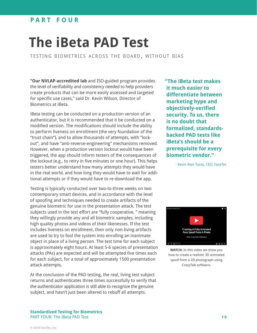### **p a r t f o u r**

## **The iBeta PAD Test**

testing biometrics across the board, without bias

**"Our NVLAP-accredited lab** and ISO-guided program provides the level of verifiability and consistency needed to help providers create products that can be more easily assessed and targeted for specific use cases," said Dr. Kevin Wilson, Director of Biometrics at iBeta.

iBeta testing can be conducted on a production version of an authenticator, but it is recommended that it be conducted on a modified version. The modifications should include the ability to perform liveness on enrollment (the very foundation of the "trust chain"), and to allow thousands of attempts, with "lockout", and have "anti-reverse-engineering" mechanisms removed. However, when a production version lockout would have been triggered, the app should inform testers of the consequences of the lockout (e.g., to retry in five minutes or one hour). This helps testers better understand how many attempts they would have in the real world, and how long they would have to wait for additional attempts or if they would have to re-download the app.

Testing is typically conducted over two-to-three weeks on two contemporary smart devices, and in accordance with the level of spoofing and techniques needed to create artifacts of the genuine biometric for use in the presentation attack. The test subjects used in the test effort are "fully cooperative, " meaning they willingly provide any and all biometric samples, including high quality photos and videos of their likenesses. If the test includes liveness on enrollment, then only non-living artifacts are used to try to fool the system into enrolling an inanimate object in place of a living person. The test time for each subject is approximately eight hours. At least 5-6 species of presentation attacks (PAs) are expected and will be attempted five times each for each subject, for a total of approximately 1500 presentation attack attempts.

At the conclusion of the PAD testing, the real, living test subject returns and authenticates three times successfully to verify that the authenticator application is still able to recognize the genuine subject, and hasn't just been altered to rebuff all attempts.

**"The iBeta test makes it much easier to differentiate between marketing hype and objectively-verified security. To us, there is no doubt that formalized, standardsbacked PAD tests like iBeta's should be a prerequisite for every biometric vendor."** 

- Kevin Alan Tussy, CEO, FaceTec



**WATCH:** [In this video we show you](https://youtu.be/SeyiGnB54HQ)  [how to create a realistic 3D animated](https://youtu.be/SeyiGnB54HQ)  [spoof from a 2D photograph using](https://youtu.be/SeyiGnB54HQ)  [CrazyTalk software.](https://youtu.be/SeyiGnB54HQ)

**Standardized Testing for Biometrics** PART FOUR: The iBeta PAD Test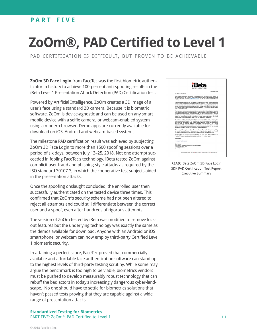### **PART FIVE**

## **ZoOm®, PAD Certified to Level 1**

pad certification is difficult, but proven to be achievable

**ZoOm 3D Face Login** from FaceTec was the first biometric authenticator in history to achieve 100-percent anti-spoofing results in the iBeta Level 1 Presentation Attack Detection (PAD) Certification test.

Powered by Artificial Intelligence, ZoOm creates a 3D image of a user's face using a standard 2D camera. Because it is biometric software, ZoOm is device-agnostic and can be used on any smart mobile device with a selfie camera, or webcam-enabled system using a modern browser. Demo apps are currently available for download on iOS, Android and webcam-based systems.

The milestone PAD certification result was achieved by subjecting ZoOm 3D Face Login to more than 1500 spoofing sessions over a period of six days, between July 13–25, 2018. Not one attempt succeeded in fooling FaceTec's technology. iBeta tested ZoOm against complicit user fraud and phishing-style attacks as required by the ISO standard 30107-3, in which the cooperative test subjects aided in the presentation attacks.

Once the spoofing onslaught concluded, the enrolled user then successfully authenticated on the tested device three times. This confirmed that ZoOm's security scheme had not been altered to reject all attempts and could still differentiate between the correct user and a spoof, even after hundreds of rigorous attempts.

The version of ZoOm tested by iBeta was modified to remove lockout features but the underlying technology was exactly the same as the demos available for download. Anyone with an Android or iOS smartphone, or webcam can now employ third-party Certified Level 1 biometric security.

In attaining a perfect score, FaceTec proved that commercially available and affordable face authentication software can stand up to the highest levels of third-party testing scrutiny. While some may argue the benchmark is too high to be viable, biometrics vendors must be pushed to develop measurably robust technology that can rebuff the bad actors in today's increasingly dangerous cyber-landscape. No one should have to settle for biometrics solutions that haven't passed tests proving that they are capable against a wide range of presentation attacks.

**Standardized Testing for Biometrics** PART FIVE: ZoOm®, PAD Certified to Level 1



**READ**[: iBeta ZoOm 3D Face Login](https://www.ibeta.com/wp-content/uploads/180820-Face-PAD-Level-1-Letter-1.pdf)  [SDK PAD Certification Test Report](https://www.ibeta.com/wp-content/uploads/180820-Face-PAD-Level-1-Letter-1.pdf)  [Executive Summary](https://www.ibeta.com/wp-content/uploads/180820-Face-PAD-Level-1-Letter-1.pdf)